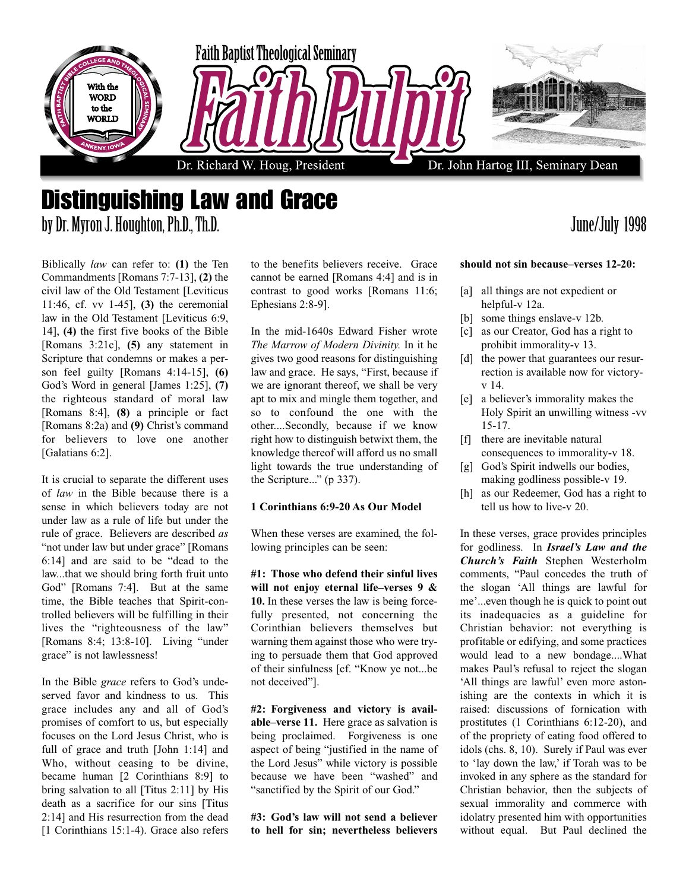

### Distinguishing Law and Grace by Dr. Myron J. Houghton, Ph.D., Th.D. June/July 1998

#### Biblically *law* can refer to: **(1)** the Ten Commandments [Romans 7:7-13], **(2)** the civil law of the Old Testament [Leviticus 11:46, cf. vv 1-45], **(3)** the ceremonial law in the Old Testament [Leviticus 6:9, 14], **(4)** the first five books of the Bible [Romans 3:21c], **(5)** any statement in Scripture that condemns or makes a person feel guilty [Romans 4:14-15], **(6)** God's Word in general [James 1:25], **(7)** the righteous standard of moral law [Romans 8:4], **(8)** a principle or fact [Romans 8:2a) and **(9)** Christ's command for believers to love one another [Galatians 6:2].

It is crucial to separate the different uses of *law* in the Bible because there is a sense in which believers today are not under law as a rule of life but under the rule of grace. Believers are described *as* "not under law but under grace" [Romans 6:14] and are said to be "dead to the law...that we should bring forth fruit unto God" [Romans 7:4]. But at the same time, the Bible teaches that Spirit-controlled believers will be fulfilling in their lives the "righteousness of the law" [Romans 8:4; 13:8-10]. Living "under grace" is not lawlessness!

In the Bible *grace* refers to God's undeserved favor and kindness to us. This grace includes any and all of God's promises of comfort to us, but especially focuses on the Lord Jesus Christ, who is full of grace and truth [John 1:14] and Who, without ceasing to be divine, became human [2 Corinthians 8:9] to bring salvation to all [Titus 2:11] by His death as a sacrifice for our sins [Titus 2:14] and His resurrection from the dead [1 Corinthians 15:1-4]. Grace also refers to the benefits believers receive. Grace cannot be earned [Romans 4:4] and is in contrast to good works [Romans 11:6; Ephesians 2:8-9].

In the mid-1640s Edward Fisher wrote *The Marrow of Modern Divinity.* In it he gives two good reasons for distinguishing law and grace. He says, "First, because if we are ignorant thereof, we shall be very apt to mix and mingle them together, and so to confound the one with the other....Secondly, because if we know right how to distinguish betwixt them, the knowledge thereof will afford us no small light towards the true understanding of the Scripture..." (p 337).

#### **1 Corinthians 6:9-20 As Our Model**

When these verses are examined, the following principles can be seen:

**#1: Those who defend their sinful lives will not enjoy eternal life–verses 9 & 10.** In these verses the law is being forcefully presented, not concerning the Corinthian believers themselves but warning them against those who were trying to persuade them that God approved of their sinfulness [cf. "Know ye not...be not deceived"].

**#2: Forgiveness and victory is available–verse 11.** Here grace as salvation is being proclaimed. Forgiveness is one aspect of being "justified in the name of the Lord Jesus" while victory is possible because we have been "washed" and "sanctified by the Spirit of our God."

**#3: God's law will not send a believer to hell for sin; nevertheless believers**

#### **should not sin because–verses 12-20:**

- [a] all things are not expedient or helpful-v 12a.
- [b] some things enslave-v 12b.
- [c] as our Creator, God has a right to prohibit immorality-v 13.
- [d] the power that guarantees our resurrection is available now for victoryv 14.
- [e] a believer's immorality makes the Holy Spirit an unwilling witness -vv 15-17.
- [f] there are inevitable natural consequences to immorality-v 18.
- [g] God's Spirit indwells our bodies, making godliness possible-v 19.
- [h] as our Redeemer, God has a right to tell us how to live-v 20.

In these verses, grace provides principles for godliness. In *Israel's Law and the Church's Faith* Stephen Westerholm comments, "Paul concedes the truth of the slogan 'All things are lawful for me'...even though he is quick to point out its inadequacies as a guideline for Christian behavior: not everything is profitable or edifying, and some practices would lead to a new bondage....What makes Paul's refusal to reject the slogan 'All things are lawful' even more astonishing are the contexts in which it is raised: discussions of fornication with prostitutes (1 Corinthians 6:12-20), and of the propriety of eating food offered to idols (chs. 8, 10). Surely if Paul was ever to 'lay down the law,' if Torah was to be invoked in any sphere as the standard for Christian behavior, then the subjects of sexual immorality and commerce with idolatry presented him with opportunities without equal. But Paul declined the